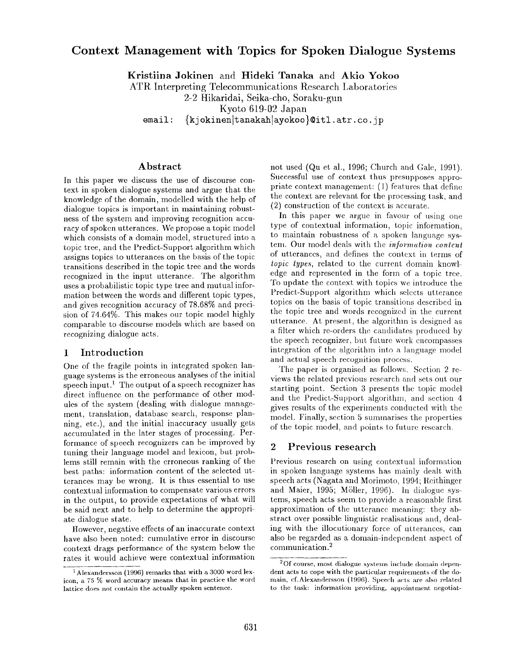# **Context Management with Topics for Spoken Dialogue Systems**

Kristiina Jokinen and Hideki Tanaka and **Akio Yokoo** 

ATR Interpreting Telecommunications Research Laboratories

2-2 Hikaridai, Seika-cho, Soraku-gun

Kyoto 619-02 Japan

email: {kjokinen|tanakah|ayokoo}@itl.atr.co.jp

### **Abstract**

In this paper wc discuss the use of discourse context in spoken dialogue systems and argue that the knowledge of the domain, modelled with the help of dialogue topics is important in maintaining robusthess of the system and improving recognition accuracy of spoken utterances. We propose a topic model which consists of a domain model, structured into a topic tree, and the Predict-Support algorithm which assigns topics to utterances on the basis of the topic transitions described in the topic tree and the words recognized in the input utterance. The algorithm uses a probabilistic topic type tree and mutual infor~ mation between the words and different topic types, and gives recognition accuracy of 78.68% and precision of 74.64%. This makes our topic model highly comparable to discourse models which are based on recognizing dialogue acts.

## 1 Introduction

One of the fragile points in integrated spoken language systems is the erroneous analyses of the initial speech input.<sup>1</sup> The output of a speech recognizer has direct influence on the performance of other modules of the system (dealing with dialogue management, translation, database search, response planning, etc.), and the initial inaccuracy usually gets accumulated in the later stages of processing. Performance of speech recognizers can be improved by tuning their language model and lexicon, but problems still remain with the erroneous ranking of the best paths: information content of the selected utterances may be wrong. It is thus essential to use contextual information to compensate various errors in the output, to provide expectations of what will be said next and to help to determine the appropriate dialogue state.

However, negative effects of an inaccurate context have also been noted: cumulative error in discourse context drags performance of the system below the rates it would achieve were contextual information

not used (Qu et al., 1996; Church and Gale, 1991). Successful use of context thus presupposes appropriate context management: (1) features that define the context are relevant for the processing task, and (2) construction of the context is accurate.

In this paper we argue in favour of using one type of contextual information, topic information, to maintain robustness of a spoken language systen,. Our model deals with the *information content*  of utterances, and defines the context in terms of *topic types,* related to the current domain knowledge and represented in the form of a topic tree. To update the context with topics we introduce the Predict-Support algorithm which selects utterance topics on the basis of topic transitions described in the topic tree and words recognized in the current utterance. At present, the algorithm is designed as a filter which re-orders the candidates produced by the speech recognizer, but future work encompasses integration of the algorithm into a language model and actual speech recognition process.

The paper is organised as follows. Section 2 reviews the related previous research and sets out our starting point. Section 3 presents the topic model and the Predict-Support algorithm, and section 4 gives results of the experiments conducted with the modeh Finally, section 5 summarises the properties of the topic model, and points to future research.

### **<sup>2</sup>Previous research**

Previous research on using contextual information in spoken language systems has mainly dealt with speech acts (Nagata and Morimoto, 1994; Rcithinger and Maier, 1995; Mgller, 1996). In dialogue systems, speech acts seem to provide a reasonable first approximation of the utterance meaning: they abstract over possible linguistic realisations and, dealing with the illocutionary force of utterances, can also be regarded as a domain-independent aspect of communication.2

<sup>1</sup>Alexandersson (1996) remarks that with a 3000 word lexicon, a 75 % word accuracy means that in practice the word lattice does not contain the actually spoken sentence.

<sup>2</sup>Of course, most dialogue systems include domain dependent acts to cope with the particular requirements of the domain, cf.Alexandersson (1996). Speech acts are also related to the task: information providing, appointment negotiat-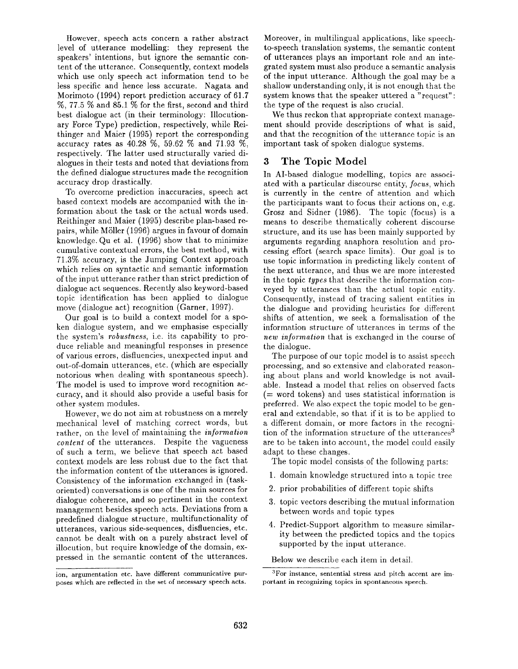However, speech acts concern a rather abstract level of utterance modelling: they represent the speakers' intentions, but ignore the semantic content of the utterance. Consequently, context models which use only speech act information tend to be less specific and hence less accurate. Nagata and Morimoto (1994) report prediction accuracy of 61.7 %, 77.5 % and 85.1% for the first, second and third best dialogue act (in their terminology: Illocutionary Force Type) prediction, respectively, while Reithinger and Maier (1995) report the corresponding accuracy rates as 40.28 %, 59.62 % and 71.93 %, respectively. The latter used structurally varied dialogues in their tests and noted that deviations from the defined dialogue structures made the recognition accuracy drop drastically.

To overcome prediction inaccuracies, speech act based context models are accompanied with the information about the task or the actual words used. Reithinger and Maier (1995) describe plan-based repairs, while MSller (1996) argues in favour of domain knowledge. Qu et al. (1996) show that to minimize cumulative contextual errors, the best method, with 71.3% accuracy, is the Jumping Context approach which relies on syntactic and semantic information of the input utterance rather than strict prediction of dialogue act sequences. Recently also keyword-based topic identification has been applied to dialogue move (dialogue act) recognition (Garner, 1997).

Our goal is to build a context model for a spoken dialogue system, and we emphasise especially the system's *robustness,* i.e. its capability to produce reliable and meaningful responses in presence of various errors, disfiuencies, unexpected input and out-of-domain utterances, etc. (which are especially notorious when dealing with spontaneous speech). The model is used to improve word recognition accuracy, and it should also provide a useful basis for other system modules.

However, we do not aim at robustness on a merely mechanical level of matching correct words, but rather, on the level of maintaining the *information content* of the utterances. Despite the vagueness of such a term, we believe that speech act based context models are less robust due to the fact that the information content of the utterances is ignored. Consistency of the information exchanged in (taskoriented) conversations is one of the main sources for dialogue coherence, and so pertinent in the context management besides speech acts. Deviations from a predefined dialogue structure, multifunctionality of utterances, various side-sequences, disfluencies, etc. cannot be dealt with on a purely abstract level of illocution, but require knowledge of the domain, expressed in the semantic content of the utterances.

Moreover, in multilingual applications, like speechto-speech translation systems, the semantic content of utterances plays an important role and an integrated system must also produce a semantic analysis of the input utterance. Although the goal may be a shallow understanding only, it is not enough that the system knows that the speaker uttered a "request": the type of the request is also crucial.

We thus reckon that appropriate context management should provide descriptions of what is said, and that the recognition of the utterance topic is an important task of spoken dialogue systems.

### 3 The Topic Model

In AI-based dialogue modelling, topics are associated with a particular discourse entity, *focus,* which is currently in the centre of attention and which the participants want to focus their actions on, e.g. Grosz and Sidner (1986). The topic (focus) is a means to describe thematically coherent discourse structure, and its use has been mainly supported by arguments regarding anaphora resolution and processing effort (search space limits). Our goal is to use topic information in predicting likely content of the next utterance, and thus we are more interested in the topic *types* that describe the information conveyed by utterances than the actual topic entity. Consequently, instead of tracing salient entities in the dialogue and providing heuristics for different shifts of attention, we seek a formalisation of the information structure of utterances in terms of the *new information* that is exchanged in the course of the dialogue.

The purpose of our topic model is to assist speech processing, and so extensive and elaborated reasoning about plans and world knowledge is not available. Instead a model that relies on observed facts (= word tokens) and uses statistical information is preferred. We also expect the topic model to be general and extendable, so that if it is to be applied to a different domain, or more factors in the recognition of the information structure of the utterances<sup>3</sup> are to be taken into account, the model could easily adapt to these changes.

The topic model consists of the following parts:

- 1. domain knowledge structured into a topic tree
- 2. prior probabilities of different topic shifts
- 3. topic vectors describing the mutual information between words and topic types
- 4. Predict-Support algorithm to measure similarity between the predicted topics and the topics supported by the input utterance.

Below we describe each item in detail.

ion, argumentation etc. have different communicative purposes which are reflected in the set of necessary speech acts.

<sup>3</sup>For instance, sentential stress and pitch accent are important in recognizing topics in spontaneous speech.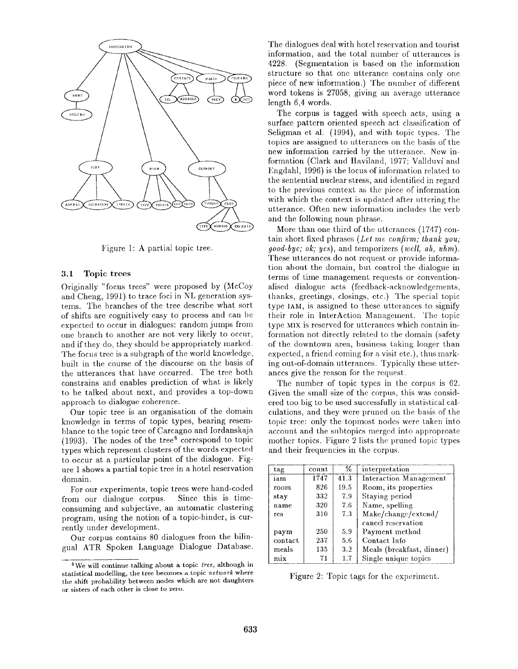

Figure 1: A partial topic tree.

#### 3.1 Topic trees

Originally "focus trees" were proposed by (McCoy and Cheng, 1991) to trace foci in NL generation systems. The branches of the tree describe what sort of shifts are cognitively easy to process and can be expected to occur in dialogues: random jumps from one branch to another are not very likely to occur, and if they do, they should be appropriately marked. The focus tree is a subgraph of the world knowledge, built in the course of the discourse on the basis of the utterances that have occurred. The tree both constrains and enables prediction of what is likely to be talked about next, and provides a top-down approach to dialogue coherence.

Our topic tree is an organisation of the domain knowledge in terms of topic types, bearing resemblance to the topic tree of Carcagno and Iordanskaja  $(1993)$ . The nodes of the tree<sup>4</sup> correspond to topic types which represent clusters of the words expected to occur at a particular point of the dialogue. Figure 1 shows a partial topic tree in a hotel reservation domain.

For our experiments, topic trees were hand-coded from our dialogue corpus. Since this is timeconsuming and subjective, an automatic clustering program, using the notion of a topic-binder, is currently under development.

Our corpus contains 80 dialogues from the bilingual ATR Spoken Language Dialogue Database. The dialogues deal with hotel reservation and tourist information, and the total number of utterances is 4228. (Segmentation is based on the information structure so that one utterance contains only one piece of new information.) The number of different word tokens is 27058, giving an average utterance length 6,4 words.

The corpus is tagged with speech acts, using a surface pattern oriented speech act classification of Seligman et al. (1994), and with topic types. The topics are assigned to utterances on the basis of the new information carried by the utterance. New information (Clark and Haviland, 1977; Vallduví and Engdahl, 1996) is the locus of information related to the sentential nuclear stress, and identified in regard to the previous context as the piece of information with which the context is updated after uttering the utterance. Often new information includes the verb and the following noun phrase.

More than one third of the utterances (1747) contain short fixed phrases *(Let me confirm.; thank you; good-bye; ok; yes),* and temporizers *(well, ah, uhm).*  These utterances do not request or provide information about the domain, but control the dialogue in terms of time management requests or conventionalised dialogue acts (feedback-acknowledgements, thanks, greetings, closings, etc.) The special topic type IAM, is assigned to these utterances to signify their role in InterAction Management. The topic type MIX is reserved for utterances which contain information not directly related to the domain (safety of the downtown area, business taking longer than expected, a friend coming for a visit etc.), thus marking out-of-domain utterances. Typically these utterances give the reason for the request.

The number of topic types in the corpus is 62. Given the small size of the corpus, this was considered too big to be used successfully in statistical calculations, and they were pruned on the basis of the topic tree: only the topmost nodes were taken into account and the subtopics merged into approproate mother topics. Figure 2 lists the pruned topic types and their frequencies in the corpus.

| tag     | count | ℅       | interpretation            |
|---------|-------|---------|---------------------------|
| iam     | 1747  | 41.3    | Interaction Management    |
| room    | 826   | 19.5    | Room, its properties      |
| stay    | 332   | 7.9     | Staying period            |
| name    | 320   | 7.6     | Name, spelling            |
| res     | 310   | 7.3     | Make/change/extend/       |
|         |       |         | cancel reservation        |
| paym    | 250   | 5.9     | Payment method            |
| contact | 237   | 5.6     | Contact Info              |
| meals   | 135   | $3.2\,$ | Meals (breakfast, dinner) |
| mix     | 71    | 1.7     | Single unique topics      |

Figure 2: Topic tags for the experiment.

<sup>4</sup>We will continue talking about a topic *tree,* although in statistical modelling, the tree becomes a topic *network* where the shift probability between nodes which are not daughters or sisters of each other is close to zero.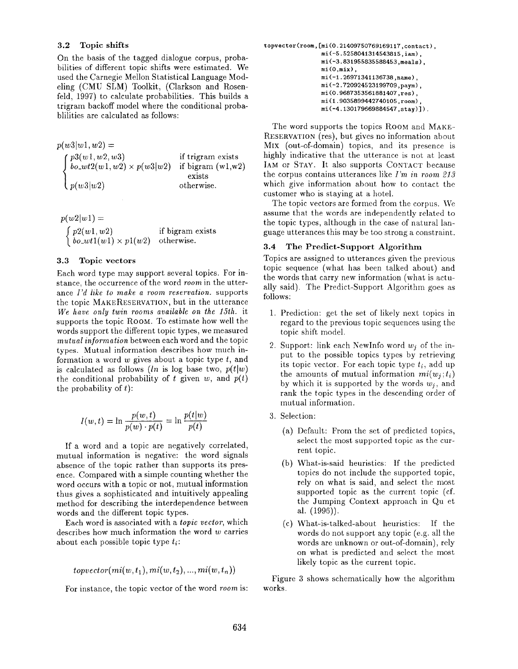#### 3.2 Topic shifts

On the basis of the tagged dialogue corpus, probabilities of different topic shifts were estimated. We used the Carnegie Mellon Statistical Language Modeling (CMU SLM) Toolkit, (Clarkson and Rosen° feld, 1997) to calculate probabilities. This builds a trigram backoff model where the conditional probablilities are calculated as follows:

 $p(w3|w1, w2) =$  $p3(w1, w2, w3)$  $bo\_wt2(w1,w2) \times p(w3|w2)$  $p(w3|w2)$ if trigram exists if bigram  $(w1,w2)$ exists otherwise.

 $p(w2|w1) =$  $\int p2(w1,w2)$  $\partial$  *bo\_wtl(wl)*  $\times$  *pl(w2)* if bigram exists otherwise.

#### 3.3 Topic vectors

Each word type may support several topics. For instance, the occurrence of the word *room* in the utterance *I'd like to make a room reservation,* supports the topic MAKERESERVATION, but in the utterance *We have only twin rooms available on the 15th.* it supports the topic ROOM. To estimate how well the words support the different topic types, we measured *mutual information* between each word and the topic types. Mutual information describes how much information a word  $w$  gives about a topic type  $t$ , and is calculated as follows *(ln* is log base two,  $p(t|w)$ ) the conditional probability of t given  $w$ , and  $p(t)$ the probability of  $t$ :

$$
I(w,t) = \ln \frac{p(w,t)}{p(w) \cdot p(t)} = \ln \frac{p(t|w)}{p(t)}
$$

If a word and a topic are negatively correlated, mutual information is negative: the word signals absence of the topic rather than supports its presence. Compared with a simple counting whether the word occurs with a topic or not, mutual information thus gives a sophisticated and intuitively appealing method for describing the interdependence between words and the different topic types.

Each word is associated with a *topic vector,* which describes how much information the word  $w$  carries about each possible topic type *ti:* 

$$
to vector(mi(w, t_1), mi(w, t_2), ..., mi(w, t_n))
$$

For instance, the topic vector of the word *room* is:

```
topvector(room, [mi(0.21409750769169117, contact),
      mi (-5.5258041314543815, iam),
     mi (-3. 831955835588453 ,meals), 
      mi (O,mix) , 
      mi (-1.26971341136738, name),
      mi (-2. 720924523199709, paym) , 
     mi (0. 9687353561881407, res ) , 
      mi (I. 9035899442740105, room) , 
      mi(-4.130179669884547, stay).
```
The word supports the topics ROOM and MAKE-RESERVATION (res), but gives no information about MIx (out-of-domain) topics, and its presence is highly indicative that the utterance is not at least IAM or STAY. It also supports CONTACT because the corpus contains utterances like *I'm in room 213*  which give information about how to contact the customer who is staying at a hotel.

The topic vectors are formed from the corpus. We assume that the words are independently related to the topic types, although in the case of natural language utterances this may be too strong a constraint.

#### 3.4 The Predict-Support Algorithm

Topics are assigned to utterances given the previous topic sequence (what has been talked about) and the words that carry new information (what is actually said). The Predict-Support Algorithm goes as follows:

- 1. Prediction: get the set of likely next topics in regard to the previous topic sequences using the topic shift model.
- 2. Support: link each NewInfo word *wj* of the input to the possible topics types by retrieving its topic vector. For each topic type  $t_i$ , add up the amounts of mutual information  $mi(w_j; t_i)$ by which it is supported by the words *wj,* and rank the topic types in the descending order of mutual information.
- 3. Selection:
	- (a) Default: From the set of predicted topics, select the most supported topic as the current topic.
	- (b) What-is-said heuristics: If the predicted topics do not include the supported topic, rely on what is said, and select the most supported topic as the current topic (cf. the Jumping Context approach in Qu et al. (1996)).
	- (c) What-is-talked-about heuristics: If the words do not support any topic (e.g. all the words are unknown or out-of-domain), rely on what is predicted and select the most likely topic as the current topic.

Figure 3 shows schematically how the algorithm works.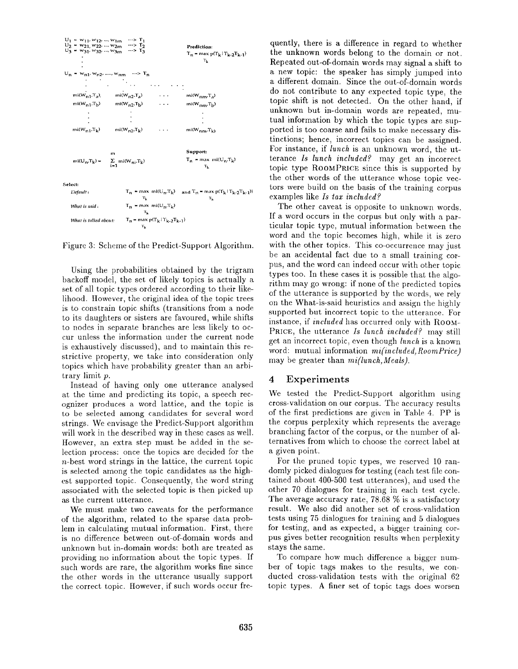

Figure 3: Scheme of the Predict-Support Algorithm.

Using the probabilities obtained by the trigram backoff model, the set of likely topics is actually a set of all topic types ordered according to their likelihood. However, the original idea of the topic trees is to constrain topic shifts (transitions from a node to its daughters or sisters are favoured, while shifts to nodes in separate branches are less likely to occur unless the information under the current node is exhaustively discussed), and to maintain this restrictive property, we take into consideration only topics which have probability greater than an arbitrary limit p.

Instead of having only one utterance analysed at the time and predicting its topic, a speech recognizer produces a word lattice, and the topic is to be selected among candidates for several word strings. We envisage the Predict-Support algorithm will work in the described way in these cases as well. However, an extra step must be added in the selection process: once the topics are decided for the n-best word strings in the lattice, the current topic is selected among the topic candidates as the highest supported topic. Consequently, the word string associated with the selected topic is then picked up as the current utterance.

We must make two caveats for the performance of the algorithm, related to the sparse data problem in calculating mutual information. First, there is no difference between out-of-domain words and unknown but in-domain words: both are treated as providing no information about the topic types. If such words are rare, the algorithm works fine since the other words in the utterance usually support the correct topic. However, if such words occur frequently, there is a difference in regard to whether the unknown words belong to the domain or not. Repeated out-of-domain words may signal a shift to a new topic: the speaker has simply jumped into a different domain. Since the out-of-domain words do not contribute to any expected topic type, the topic shift is not detected. On the other hand, if unknown but in-domain words are repeated, mutual information by which the topic types are supported is too coarse and fails to make necessary distinctions; hence, incorrect topics can be assigned. For instance, if *lunch* is an unknown word, the utterance *Is lunch included?* may get an incorrect topic type RooMPRICE since this is supported by the other words of the utterance whose topic vectors were build on the basis of the training corpus examples like *Is tax included?* 

The other caveat is opposite to unknown words. If a word occurs in the corpus but only with a particular topic type, mutual information between the word and the topic becomes high, while it is zero with the other topics. This co-occurrence may just be an accidental fact due to a small training corpus, and the word can indeed occur with other topic types too. In these cases it is possible that the algorithm may go wrong: if none of the predicted topics of the utterance is supported by the words, we rely on the What-is-said heuristics and assign the highly supported but incorrect topic to the utterance. For instance, if *included* has occurred only with ROOM-PRICE, the utterance *Is lunch included?* may still get an incorrect topic, even though *lunch* is a known word: mutual information *mi(included, RoomPrice)*  may be greater than *mi(lunch, Meals).* 

### 4 Experiments

We tested the Predict-Support algorithm using cross-validation on our corpus. The accuracy results of the first predictions are given in Table 4. PP is the corpus perplexity which represents the average branching factor of the corpus, or the number of alternatives from which to choose the correct label at a given point.

For the pruned topic types, we reserved 10 randomly picked dialogues for testing (each test file contained about 400-500 test utterances), and used the other 70 dialogues for training in each test cycle. The average accuracy rate, 78.68 % is a satisfactory result. We also did another set of cross-validation tests using 75 dialogues for training and 5 dialogues for testing, and as expected, a bigger training corpus gives better recognition results when perplexity stays the same.

To compare how nmch difference a bigger number of topic tags makes to the results, we conducted cross-validation tests with the original 62 topic types. A finer set of topic tags does worsen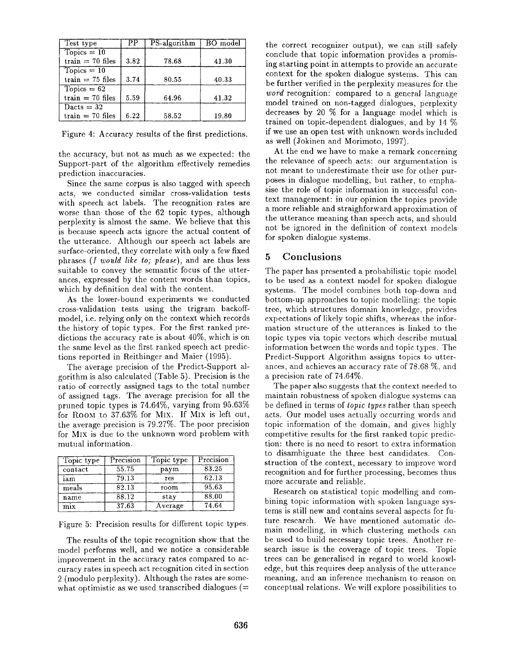| Test type          | PР   | PS-algorithm | BO model |
|--------------------|------|--------------|----------|
| $Tooics = 10$      |      |              |          |
| train $= 70$ files | 3.82 | 78.68        | 41.30    |
| $Topics = 10$      |      |              |          |
| train $= 75$ files | 3.74 | 80.55        | 40.33    |
| $Topics = 62$      |      |              |          |
| $train = 70$ files | 5.59 | 64.96        | 41.32    |
| $Dacts = 32$       |      |              |          |
| $train = 70$ files | 6.22 | 58.52        | 19.80    |

Figure 4: Accuracy results of the first predictions.

the accuracy, but not as much as we expected: the Support-part of the algorithm effectively remedies prediction inaccuracies.

Since the same corpus is also tagged with speech acts, we conducted similar cross-validation tests with speech act labels. The recognition rates are worse than those of the 62 topic types, although perplexity is almost the same. We believe that this is because speech acts ignore the actual content of the utterance. Although our speech act labels are surface-oriented, they correlate with only a few fixed phrases *(I would like to; please),* and are thus less suitable to convey the semantic focus of the utterances, expressed by the content words than topics, which by definition deal with the content.

As the lower-bound experiments we conducted cross-validation tests using the trigram backoffmodel, i.e. relying only on the context which records the history of topic types. For the first ranked predictions the accuracy rate is about 40%, which is on the same level as the first ranked speech act predictions reported in Reithinger and Maier (1995).

The average precision of the Predict-Support algorithm is also calculated (Table 5). Precision is the ratio of correctly assigned tags to the total number of assigned tags. The average precision for all the pruned topic types is 74.64%, varying from 95.63% for ROOM to 37.63% for MIx. If MIX is left out, the average precision is 79.27%. The poor precision for MIX is due to the unknown word problem with mutual information.

| Topic type | Precision | Topic type | Precision |
|------------|-----------|------------|-----------|
| contact    | 55.75     | paym       | 83.25     |
| iam        | 79.13     | res        | 62.13     |
| meals      | 82.13     | room       | 95.63     |
| name       | 88.12     | stay       | 88.00     |
| mix        | 37.63     | Average    | 74.64     |

Figure 5: Precision results for different topic types.

The results of the topic recognition show that the model performs well, and we notice a considerable improvement in the accuracy rates compared to accuracy rates in speech act recognition cited in section 2 (modulo perplexity). Although the rates are somewhat optimistic as we used transcribed dialogues  $(=$ 

the correct recognizer output), we can still safely conclude that topic information provides a promising starting point in attempts to provide an accurate context for the spoken dialogue systems. This can be further verified in the perplexity measures for the *word* recognition: compared to a general language model trained on non-tagged dialogues, perplexity decreases by 20 % for a language model which is trained on topic-dependent dialogues, and by 14 % if we use an open test with unknown words included as well (Jokinen and Morimoto, 1997).

At the end we have to make a remark concerning the relevance of speech acts: our argumentation is not meant to underestimate their use for other purposes in dialogue modelling, but rather, to emphasise the role of topic information in successful context management: in our opinion the topics provide a more reliable and straighforward approximation of the utterance meaning than speech acts, and should not be ignored in the definition of context models for spoken dialogue systems.

# **5 Conclusions**

The paper has presented a probabilistic topic model to be used as a context model for spoken dialogue systems. The model combines both top-down and bottom-up approaches to topic modelling: the topic tree, which structures domain knowledge, provides expectations of likely topic shifts, whereas the information structure of the utterances is linked to the topic types via topic vectors which describe mutual information between the words and topic types. The Predict-Support Algorithm assigns topics to utterances, and achieves an accuracy rate of 78.68 %, and a precision rate of 74.64%.

The paper also suggests that the context needed to maintain robustness of spoken dialogue systems can be defined in terms of *topic types* rather than speech acts. Our model uses actually occurring words and topic information of the domain, and gives highly competitive results for the first ranked topic prediction: there is no need to resort to extra information to disambiguate the three best candidates. Construction of the context, necessary to improve word recognition and for further processing, becomes thus more accurate and reliable.

Research on statistical topic modelling and combining topic information with spoken language systems is still new and contains several aspects for future research. We have mentioned automatic domain modelling, in which clustering methods can be used to build necessary topic trees. Another research issue is the coverage of topic trees. Topic trees can be generalised in regard to world knowledge, but this requires deep analysis of the utterance meaning, and an inference mechanism to reason on conceptual relations. We will explore possibilities to